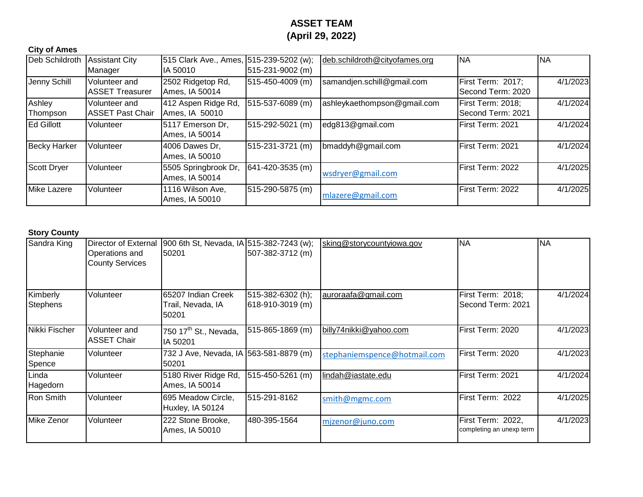# **ASSET TEAM (April 29, 2022)**

## **City of Ames**

| Deb Schildroth      | <b>Assistant City</b><br>Manager         | 515 Clark Ave., Ames, 515-239-5202 (w);<br>IA 50010 | 515-231-9002 (m)       | deb.schildroth@cityofames.org | <b>NA</b>                              | <b>NA</b> |
|---------------------|------------------------------------------|-----------------------------------------------------|------------------------|-------------------------------|----------------------------------------|-----------|
| Jenny Schill        | Volunteer and<br><b>ASSET Treasurer</b>  | 2502 Ridgetop Rd,<br>Ames, IA 50014                 | 515-450-4009 (m)       | samandjen.schill@gmail.com    | First Term: 2017;<br>Second Term: 2020 | 4/1/2023  |
| Ashley<br>Thompson  | Volunteer and<br><b>ASSET Past Chair</b> | 412 Aspen Ridge Rd,<br>Ames, IA 50010               | 515-537-6089 (m)       | ashleykaethompson@gmail.com   | First Term: 2018;<br>Second Term: 2021 | 4/1/2024  |
| <b>Ed Gillott</b>   | Volunteer                                | 5117 Emerson Dr,<br>Ames, IA 50014                  | 515-292-5021 (m)       | edg813@gmail.com              | First Term: 2021                       | 4/1/2024  |
| <b>Becky Harker</b> | Volunteer                                | 4006 Dawes Dr.<br>Ames, IA 50010                    | 515-231-3721 (m)       | bmaddyh@gmail.com             | First Term: 2021                       | 4/1/2024  |
| <b>Scott Dryer</b>  | Volunteer                                | 5505 Springbrook Dr,<br>Ames, IA 50014              | $641 - 420 - 3535$ (m) | wsdryer@gmail.com             | First Term: 2022                       | 4/1/2025  |
| Mike Lazere         | Volunteer                                | 1116 Wilson Ave,<br>Ames, IA 50010                  | 515-290-5875 (m)       | mlazere@gmail.com             | First Term: 2022                       | 4/1/2025  |

### **Story County**

| Sandra King                 | Director of External<br>Operations and<br><b>County Services</b> | 900 6th St, Nevada, IA 515-382-7243 (w);<br>50201 | 507-382-3712 (m)                      | sking@storycountyiowa.gov    | <b>NA</b>                                     | <b>NA</b> |
|-----------------------------|------------------------------------------------------------------|---------------------------------------------------|---------------------------------------|------------------------------|-----------------------------------------------|-----------|
| Kimberly<br><b>Stephens</b> | Volunteer                                                        | 65207 Indian Creek<br>Trail, Nevada, IA<br>50201  | 515-382-6302 (h);<br>618-910-3019 (m) | auroraafa@gmail.com          | First Term: 2018;<br>Second Term: 2021        | 4/1/2024  |
| Nikki Fischer               | Volunteer and<br><b>ASSET Chair</b>                              | 750 17 <sup>th</sup> St., Nevada,<br>IA 50201     | 515-865-1869 (m)                      | billy74nikki@yahoo.com       | First Term: 2020                              | 4/1/2023  |
| Stephanie<br>Spence         | Volunteer                                                        | 732 J Ave, Nevada, IA 563-581-8879 (m)<br>50201   |                                       | stephaniemspence@hotmail.com | First Term: 2020                              | 4/1/2023  |
| Linda<br>Hagedorn           | Volunteer                                                        | 5180 River Ridge Rd,<br>Ames, IA 50014            | $ 515-450-5261$ (m)                   | lindah@iastate.edu           | First Term: 2021                              | 4/1/2024  |
| Ron Smith                   | Volunteer                                                        | 695 Meadow Circle,<br>Huxley, IA 50124            | 515-291-8162                          | smith@mgmc.com               | First Term: 2022                              | 4/1/2025  |
| Mike Zenor                  | Volunteer                                                        | 222 Stone Brooke,<br>Ames, IA 50010               | 480-395-1564                          | mjzenor@juno.com             | First Term: 2022,<br>completing an unexp term | 4/1/2023  |